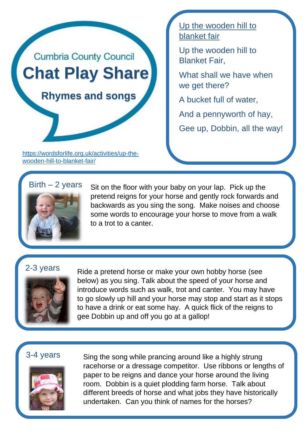

[https://wordsforlife.org.uk/activities/up-the](https://wordsforlife.org.uk/activities/up-the-wooden-hill-to-blanket-fair/)[wooden-hill-to-blanket-fair/](https://wordsforlife.org.uk/activities/up-the-wooden-hill-to-blanket-fair/)

Up the wooden hill to blanket fair

Up the wooden hill to Blanket Fair,

What shall we have when we get there?

A bucket full of water,

And a pennyworth of hay,

Gee up, Dobbin, all the way!

# $Birth - 2 years$



Sit on the floor with your baby on your lap. Pick up the pretend reigns for your horse and gently rock forwards and backwards as you sing the song. Make noises and choose some words to encourage your horse to move from a walk to a trot to a canter.

# 2-3 years



Ride a pretend horse or make your own hobby horse (see below) as you sing. Talk about the speed of your horse and introduce words such as walk, trot and canter. You may have to go slowly up hill and your horse may stop and start as it stops to have a drink or eat some hay. A quick flick of the reigns to gee Dobbin up and off you go at a gallop!

## 3-4 years



Sing the song while prancing around like a highly strung racehorse or a dressage competitor. Use ribbons or lengths of paper to be reigns and dance your horse around the living room. Dobbin is a quiet plodding farm horse. Talk about different breeds of horse and what jobs they have historically undertaken. Can you think of names for the horses?